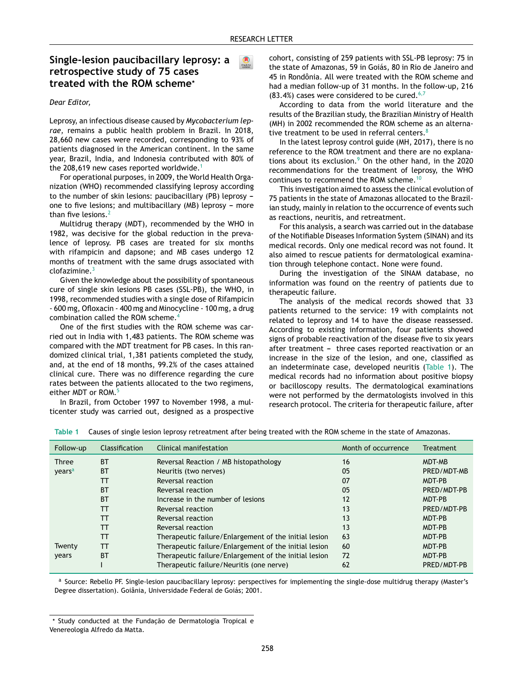$\bullet$ 

# Single-lesion paucibacillary leprosy: a retrospective study of 75 cases treated with the ROM scheme\*

#### Dear Editor,

Leprosy, an infectious disease caused by Mycobacterium leprae, remains a public health problem in Brazil. In 2018, 28,660 new cases were recorded, corresponding to 93% of patients diagnosed in the American continent. In the same year, Brazil, India, and Indonesia contributed with 80% of the 208.619 new cases reported worldwide.<sup>1</sup>

For operational purposes, in 2009, the World Health Organization (WHO) recommended classifying leprosy according to the number of skin lesions: paucibacillary (PB) leprosy one to five lesions; and multibacillary (MB) leprosy - more than five lesions. $<sup>2</sup>$ </sup>

Multidrug therapy (MDT), recommended by the WHO in 1982, was decisive for the global reduction in the prevalence of leprosy. PB cases are treated for six months with rifampicin and dapsone; and MB cases undergo 12 months of treatment with the same drugs associated with clofazimine.

Given the knowledge about the possibility of spontaneous cure of single skin lesions PB cases (SSL-PB), the WHO, in 1998, recommended studies with a single dose of Rifampicin - 600 mg, Ofloxacin - 400 mg and Minocycline - 100 mg, a drug combination called the ROM scheme.<sup>4</sup>

One of the first studies with the ROM scheme was carried out in India with 1,483 patients. The ROM scheme was compared with the MDT treatment for PB cases. In this randomized clinical trial, 1,381 patients completed the study, and, at the end of 18 months, 99.2% of the cases attained clinical cure. There was no difference regarding the cure rates between the patients allocated to the two regimens, either MDT or ROM.<sup>5</sup>

In Brazil, from October 1997 to November 1998, a multicenter study was carried out, designed as a prospective cohort, consisting of 259 patients with SSL-PB leprosy: 75 in the state of Amazonas, 59 in Goiás, 80 in Rio de Janeiro and 45 in Rondônia. All were treated with the ROM scheme and had a median follow-up of 31 months. In the follow-up, 216  $(83.4%)$  cases were considered to be cured.<sup>6,7</sup>

According to data from the world literature and the results of the Brazilian study, the Brazilian Ministry of Health (MH) in 2002 recommended the ROM scheme as an alternative treatment to be used in referral centers.<sup>8</sup>

In the latest leprosy control guide (MH, 2017), there is no reference to the ROM treatment and there are no explanations about its exclusion.<sup>9</sup> On the other hand, in the 2020 recommendations for the treatment of leprosy, the WHO continues to recommend the ROM scheme.<sup>1</sup>

This investigation aimed to assess the clinical evolution of 75 patients in the state of Amazonas allocated to the Brazilian study, mainly in relation to the occurrence of events such as reactions, neuritis, and retreatment.

For this analysis, a search was carried out in the database of the Notifiable Diseases Information System (SINAN) and its medical records. Only one medical record was not found. It also aimed to rescue patients for dermatological examination through telephone contact. None were found.

During the investigation of the SINAM database, no information was found on the reentry of patients due to therapeutic failure.

The analysis of the medical records showed that 33 patients returned to the service: 19 with complaints not related to leprosy and 14 to have the disease reassessed. According to existing information, four patients showed signs of probable reactivation of the disease five to six years after treatment - three cases reported reactivation or an increase in the size of the lesion, and one, classified as an indeterminate case, developed neuritis (Table 1). The medical records had no information about positive biopsy or bacilloscopy results. The dermatological examinations were not performed by the dermatologists involved in this research protocol. The criteria for therapeutic failure, after

| Follow-up          | <b>Classification</b> | Clinical manifestation                                | Month of occurrence | <b>Treatment</b> |
|--------------------|-----------------------|-------------------------------------------------------|---------------------|------------------|
| Three              | <b>BT</b>             | Reversal Reaction / MB histopathology                 | 16                  | MDT-MB           |
| years <sup>a</sup> | <b>BT</b>             | Neuritis (two nerves)                                 | 05                  | PRED/MDT-MB      |
|                    | тт                    | Reversal reaction                                     | 07                  | MDT-PB           |
|                    | <b>BT</b>             | Reversal reaction                                     | 05                  | PRED/MDT-PB      |
|                    | <b>BT</b>             | Increase in the number of lesions                     | 12                  | MDT-PB           |
|                    | ТT                    | Reversal reaction                                     | 13                  | PRED/MDT-PB      |
|                    | TТ                    | Reversal reaction                                     | 13                  | MDT-PB           |
|                    | TТ                    | Reversal reaction                                     | 13                  | MDT-PB           |
|                    | тт                    | Therapeutic failure/Enlargement of the initial lesion | 63                  | MDT-PB           |
| Twenty             | тт                    | Therapeutic failure/Enlargement of the initial lesion | 60                  | MDT-PB           |
| years              | <b>BT</b>             | Therapeutic failure/Enlargement of the initial lesion | 72                  | MDT-PB           |
|                    |                       | Therapeutic failure/Neuritis (one nerve)              | 62                  | PRED/MDT-PB      |

Table 1 Causes of single lesion leprosy retreatment after being treated with the ROM scheme in the state of Amazonas.

a Source: Rebello PF. Single-lesion paucibacillary leprosy: perspectives for implementing the single-dose multidrug therapy (Master's Degree dissertation). Goiânia, Universidade Federal de Goiás; 2001.

<sup>\*</sup> Study conducted at the Fundação de Dermatologia Tropical e Venereologia Alfredo da Matta.